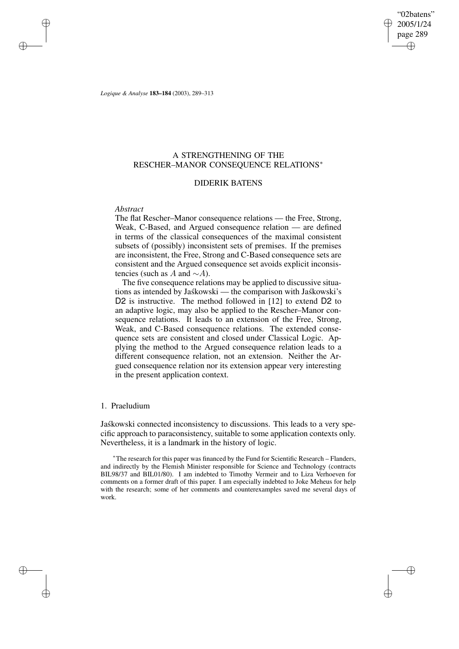"02batens" 2005/1/24 page 289 ✐ ✐

✐

✐

*Logique & Analyse* **183–184** (2003), 289–313

# A STRENGTHENING OF THE RESCHER–MANOR CONSEQUENCE RELATIONS<sup>∗</sup>

## DIDERIK BATENS

### *Abstract*

✐

✐

✐

✐

The flat Rescher–Manor consequence relations — the Free, Strong, Weak, C-Based, and Argued consequence relation — are defined in terms of the classical consequences of the maximal consistent subsets of (possibly) inconsistent sets of premises. If the premises are inconsistent, the Free, Strong and C-Based consequence sets are consistent and the Argued consequence set avoids explicit inconsistencies (such as A and  $\sim$ A).

The five consequence relations may be applied to discussive situations as intended by Jaskowski — the comparison with Jaskowski's D2 is instructive. The method followed in [12] to extend D2 to an adaptive logic, may also be applied to the Rescher–Manor consequence relations. It leads to an extension of the Free, Strong, Weak, and C-Based consequence relations. The extended consequence sets are consistent and closed under Classical Logic. Applying the method to the Argued consequence relation leads to a different consequence relation, not an extension. Neither the Argued consequence relation nor its extension appear very interesting in the present application context.

## 1. Praeludium

Jaskowski connected inconsistency to discussions. This leads to a very specific approach to paraconsistency, suitable to some application contexts only. Nevertheless, it is a landmark in the history of logic.

<sup>∗</sup>The research for this paper was financed by the Fund for Scientific Research – Flanders, and indirectly by the Flemish Minister responsible for Science and Technology (contracts BIL98/37 and BIL01/80). I am indebted to Timothy Vermeir and to Liza Verhoeven for comments on a former draft of this paper. I am especially indebted to Joke Meheus for help with the research; some of her comments and counterexamples saved me several days of work.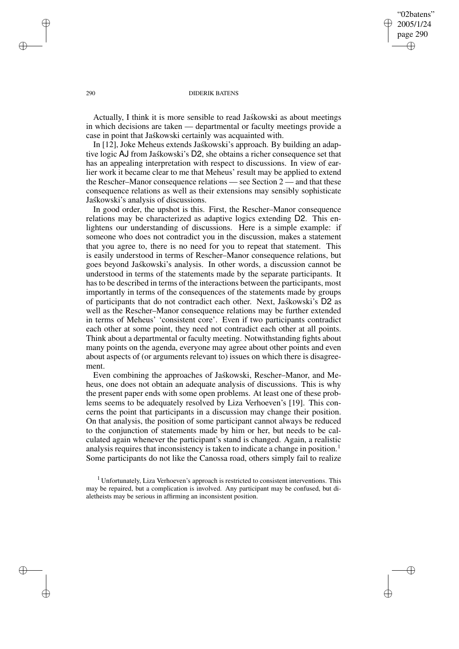## "02batens" 2005/1/24 page 290 ✐ ✐

✐

✐

#### 290 DIDERIK BATENS

Actually. I think it is more sensible to read Jaskowski as about meetings in which decisions are taken — departmental or faculty meetings provide a case in point that Jaskowski certainly was acquainted with.

In [12], Joke Meheus extends Jaskowski's approach. By building an adaptive logic AJ from Jaskowski's D2, she obtains a richer consequence set that has an appealing interpretation with respect to discussions. In view of earlier work it became clear to me that Meheus' result may be applied to extend the Rescher–Manor consequence relations — see Section 2 — and that these consequence relations as well as their extensions may sensibly sophisticate Jaskowski's analysis of discussions.

In good order, the upshot is this. First, the Rescher–Manor consequence relations may be characterized as adaptive logics extending D2. This enlightens our understanding of discussions. Here is a simple example: if someone who does not contradict you in the discussion, makes a statement that you agree to, there is no need for you to repeat that statement. This is easily understood in terms of Rescher–Manor consequence relations, but goes beyond Jaskowski's analysis. In other words, a discussion cannot be understood in terms of the statements made by the separate participants. It hasto be described in terms of the interactions between the participants, most importantly in terms of the consequences of the statements made by groups of participants that do not contradict each other. Next, Jaskowski's D2 as well as the Rescher–Manor consequence relations may be further extended in terms of Meheus' 'consistent core'. Even if two participants contradict each other at some point, they need not contradict each other at all points. Think about a departmental or faculty meeting. Notwithstanding fights about many points on the agenda, everyone may agree about other points and even about aspects of (or arguments relevant to) issues on which there is disagreement.

Even combining the approaches of Jaskowski, Rescher–Manor, and Meheus, one does not obtain an adequate analysis of discussions. This is why the present paper ends with some open problems. At least one of these problems seems to be adequately resolved by Liza Verhoeven's [19]. This concerns the point that participants in a discussion may change their position. On that analysis, the position of some participant cannot always be reduced to the conjunction of statements made by him or her, but needs to be calculated again whenever the participant's stand is changed. Again, a realistic analysis requires that inconsistency is taken to indicate a change in position.<sup>1</sup> Some participants do not like the Canossa road, others simply fail to realize

✐

✐

✐

<sup>1</sup> Unfortunately, Liza Verhoeven's approach is restricted to consistent interventions. This may be repaired, but a complication is involved. Any participant may be confused, but dialetheists may be serious in affirming an inconsistent position.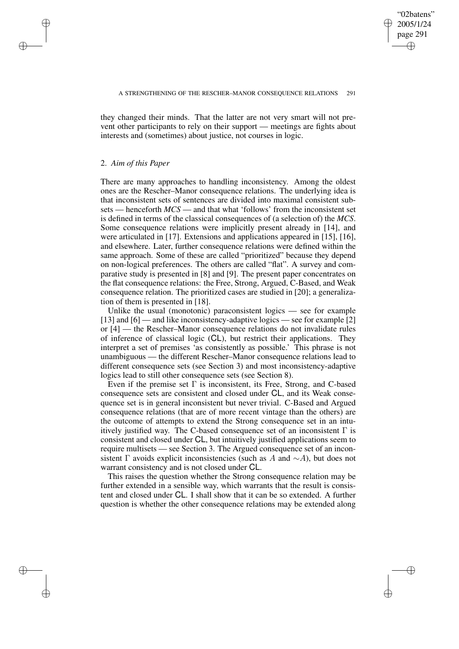✐

they changed their minds. That the latter are not very smart will not prevent other participants to rely on their support — meetings are fights about interests and (sometimes) about justice, not courses in logic.

### 2. *Aim of this Paper*

✐

✐

✐

✐

There are many approaches to handling inconsistency. Among the oldest ones are the Rescher–Manor consequence relations. The underlying idea is that inconsistent sets of sentences are divided into maximal consistent subsets — henceforth *MCS* — and that what 'follows' from the inconsistent set is defined in terms of the classical consequences of (a selection of) the *MCS*. Some consequence relations were implicitly present already in [14], and were articulated in [17]. Extensions and applications appeared in [15], [16], and elsewhere. Later, further consequence relations were defined within the same approach. Some of these are called "prioritized" because they depend on non-logical preferences. The others are called "flat". A survey and comparative study is presented in [8] and [9]. The present paper concentrates on the flat consequence relations: the Free, Strong, Argued, C-Based, and Weak consequence relation. The prioritized cases are studied in [20]; a generalization of them is presented in [18].

Unlike the usual (monotonic) paraconsistent logics — see for example [13] and [6] — and like inconsistency-adaptive logics — see for example [2] or [4] — the Rescher–Manor consequence relations do not invalidate rules of inference of classical logic (CL), but restrict their applications. They interpret a set of premises 'as consistently as possible.' This phrase is not unambiguous — the different Rescher–Manor consequence relations lead to different consequence sets (see Section 3) and most inconsistency-adaptive logics lead to still other consequence sets (see Section 8).

Even if the premise set  $\Gamma$  is inconsistent, its Free, Strong, and C-based consequence sets are consistent and closed under CL, and its Weak consequence set is in general inconsistent but never trivial. C-Based and Argued consequence relations (that are of more recent vintage than the others) are the outcome of attempts to extend the Strong consequence set in an intuitively justified way. The C-based consequence set of an inconsistent  $\Gamma$  is consistent and closed under CL, but intuitively justified applications seem to require multisets — see Section 3. The Argued consequence set of an inconsistent Γ avoids explicit inconsistencies (such as A and  $\sim$ A), but does not warrant consistency and is not closed under CL.

This raises the question whether the Strong consequence relation may be further extended in a sensible way, which warrants that the result is consistent and closed under CL. I shall show that it can be so extended. A further question is whether the other consequence relations may be extended along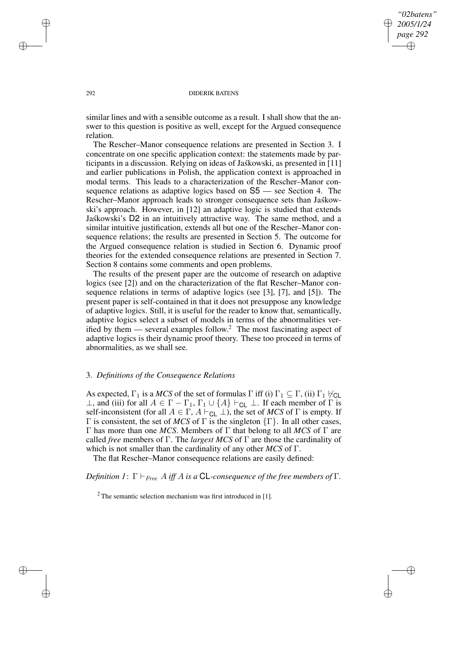## *"02batens" 2005/1/24 page 292* ✐ ✐

✐

✐

#### 292 DIDERIK BATENS

similar lines and with a sensible outcome as a result. I shall show that the answer to this question is positive as well, except for the Argued consequence relation.

The Rescher–Manor consequence relations are presented in Section 3. I concentrate on one specific application context: the statements made by participants in a discussion. Relying on ideas of Jaskowski, as presented in [11] and earlier publications in Polish, the application context is approached in modal terms. This leads to a characterization of the Rescher–Manor consequence relations as adaptive logics based on S5 — see Section 4. The Rescher–Manor approach leads to stronger consequence sets than Jaskowski's approach. However, in [12] an adaptive logic is studied that extends Jaskowski's D2 in an intuitively attractive way. The same method, and a similar intuitive justification, extends all but one of the Rescher–Manor consequence relations; the results are presented in Section 5. The outcome for the Argued consequence relation is studied in Section 6. Dynamic proof theories for the extended consequence relations are presented in Section 7. Section 8 contains some comments and open problems.

The results of the present paper are the outcome of research on adaptive logics (see [2]) and on the characterization of the flat Rescher–Manor consequence relations in terms of adaptive logics (see [3], [7], and [5]). The present paper is self-contained in that it does not presuppose any knowledge of adaptive logics. Still, it is useful for the reader to know that, semantically, adaptive logics select a subset of models in terms of the abnormalities verified by them — several examples follow.<sup>2</sup> The most fascinating aspect of adaptive logics is their dynamic proof theory. These too proceed in terms of abnormalities, as we shall see.

### 3. *Definitions of the Consequence Relations*

As expected,  $\Gamma_1$  is a *MCS* of the set of formulas  $\Gamma$  iff (i)  $\Gamma_1 \subseteq \Gamma$ , (ii)  $\Gamma_1 \nvdash_{CL}$  $\bot$ , and (iii) for all  $A \in \Gamma - \Gamma_1$ ,  $\Gamma_1 \cup \{A\} \vdash_{\text{CL}} \bot$ . If each member of Γ is self-inconsistent (for all  $A \in \Gamma$ ,  $A \vdash_{CL} \bot$ ), the set of *MCS* of  $\Gamma$  is empty. If Γ is consistent, the set of *MCS* of Γ is the singleton  $\{\Gamma\}$ . In all other cases, Γ has more than one *MCS*. Members of Γ that belong to all *MCS* of Γ are called *free* members of Γ. The *largest MCS* of Γ are those the cardinality of which is not smaller than the cardinality of any other *MCS* of Γ.

The flat Rescher–Manor consequence relations are easily defined:

*Definition*  $I: \Gamma \vdash_{Free} A$  *iff* A *is a* **CL**-consequence of the free members of  $\Gamma$ .

 $2$  The semantic selection mechanism was first introduced in [1].

✐

✐

✐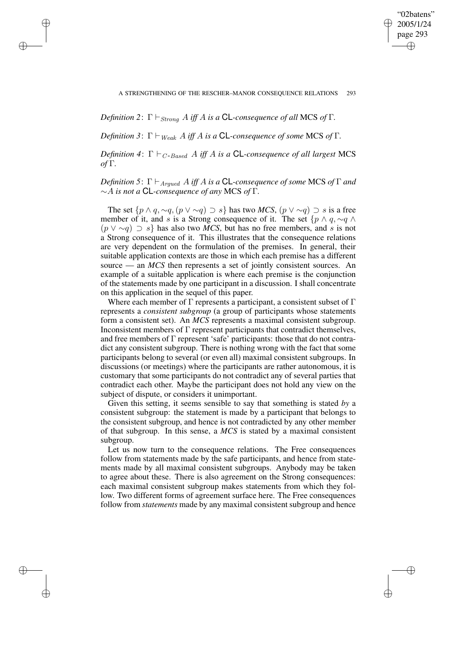"02batens" 2005/1/24 page 293 ✐ ✐

✐

✐

*Definition* 2:  $\Gamma \vdash_{Strong} A$  *iff* A *is a* **CL**-consequence of all MCS of  $\Gamma$ .

✐

✐

✐

✐

*Definition* 3:  $\Gamma \vdash_{Weak} A$  *iff* A *is a* **CL**-consequence of some MCS of  $\Gamma$ .

*Definition* 4:  $\Gamma \vdash_{C\text{-}Based} A$  *iff* A *is a* **CL**-consequence of all largest MCS *of* Γ*.*

*Definition* 5:  $\Gamma \vdash_{Argued} A$  *iff* A *is a* **CL**-consequence of some MCS of  $\Gamma$  *and* ∼A *is not a* CL*-consequence of any* MCS *of* Γ*.*

The set  $\{p \land q, \sim q, (p \lor \sim q) \supset s\}$  has two *MCS*,  $(p \lor \sim q) \supset s$  is a free member of it, and s is a Strong consequence of it. The set  $\{p \land q, \sim q \land q\}$  $(p \vee \neg q) \supset s$  has also two *MCS*, but has no free members, and s is not a Strong consequence of it. This illustrates that the consequence relations are very dependent on the formulation of the premises. In general, their suitable application contexts are those in which each premise has a different source — an *MCS* then represents a set of jointly consistent sources. An example of a suitable application is where each premise is the conjunction of the statements made by one participant in a discussion. I shall concentrate on this application in the sequel of this paper.

Where each member of  $\Gamma$  represents a participant, a consistent subset of  $\Gamma$ represents a *consistent subgroup* (a group of participants whose statements form a consistent set). An *MCS* represents a maximal consistent subgroup. Inconsistent members of  $\Gamma$  represent participants that contradict themselves, and free members of Γ represent 'safe' participants: those that do not contradict any consistent subgroup. There is nothing wrong with the fact that some participants belong to several (or even all) maximal consistent subgroups. In discussions (or meetings) where the participants are rather autonomous, it is customary that some participants do not contradict any of several parties that contradict each other. Maybe the participant does not hold any view on the subject of dispute, or considers it unimportant.

Given this setting, it seems sensible to say that something is stated *by* a consistent subgroup: the statement is made by a participant that belongs to the consistent subgroup, and hence is not contradicted by any other member of that subgroup. In this sense, a *MCS* is stated by a maximal consistent subgroup.

Let us now turn to the consequence relations. The Free consequences follow from statements made by the safe participants, and hence from statements made by all maximal consistent subgroups. Anybody may be taken to agree about these. There is also agreement on the Strong consequences: each maximal consistent subgroup makes statements from which they follow. Two different forms of agreement surface here. The Free consequences follow from *statements* made by any maximal consistent subgroup and hence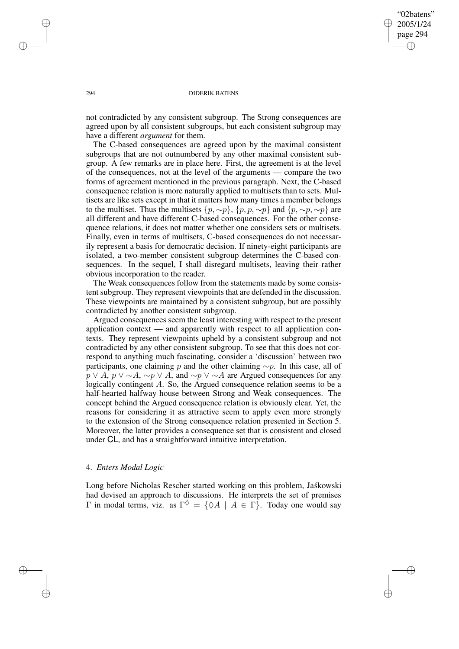"02batens" 2005/1/24 page 294 ✐ ✐

✐

✐

#### 294 DIDERIK BATENS

not contradicted by any consistent subgroup. The Strong consequences are agreed upon by all consistent subgroups, but each consistent subgroup may have a different *argument* for them.

The C-based consequences are agreed upon by the maximal consistent subgroups that are not outnumbered by any other maximal consistent subgroup. A few remarks are in place here. First, the agreement is at the level of the consequences, not at the level of the arguments — compare the two forms of agreement mentioned in the previous paragraph. Next, the C-based consequence relation is more naturally applied to multisets than to sets. Multisets are like sets except in that it matters how many times a member belongs to the multiset. Thus the multisets  $\{p, \sim p\}$ ,  $\{p, p, \sim p\}$  and  $\{p, \sim p, \sim p\}$  are all different and have different C-based consequences. For the other consequence relations, it does not matter whether one considers sets or multisets. Finally, even in terms of multisets, C-based consequences do not necessarily represent a basis for democratic decision. If ninety-eight participants are isolated, a two-member consistent subgroup determines the C-based consequences. In the sequel, I shall disregard multisets, leaving their rather obvious incorporation to the reader.

The Weak consequences follow from the statements made by some consistent subgroup. They represent viewpoints that are defended in the discussion. These viewpoints are maintained by a consistent subgroup, but are possibly contradicted by another consistent subgroup.

Argued consequences seem the least interesting with respect to the present application context — and apparently with respect to all application contexts. They represent viewpoints upheld by a consistent subgroup and not contradicted by any other consistent subgroup. To see that this does not correspond to anything much fascinating, consider a 'discussion' between two participants, one claiming p and the other claiming  $\sim p$ . In this case, all of  $p \vee A$ ,  $p \vee \neg A$ ,  $\sim p \vee A$ , and  $\sim p \vee \neg A$  are Argued consequences for any logically contingent A. So, the Argued consequence relation seems to be a half-hearted halfway house between Strong and Weak consequences. The concept behind the Argued consequence relation is obviously clear. Yet, the reasons for considering it as attractive seem to apply even more strongly to the extension of the Strong consequence relation presented in Section 5. Moreover, the latter provides a consequence set that is consistent and closed under CL, and has a straightforward intuitive interpretation.

# 4. *Enters Modal Logic*

Long before Nicholas Rescher started working on this problem, Jaskowski had devised an approach to discussions. He interprets the set of premises Γ in modal terms, viz. as  $\Gamma^{\diamondsuit} = \{ \diamondsuit A \mid A \in \Gamma \}$ . Today one would say

✐

✐

✐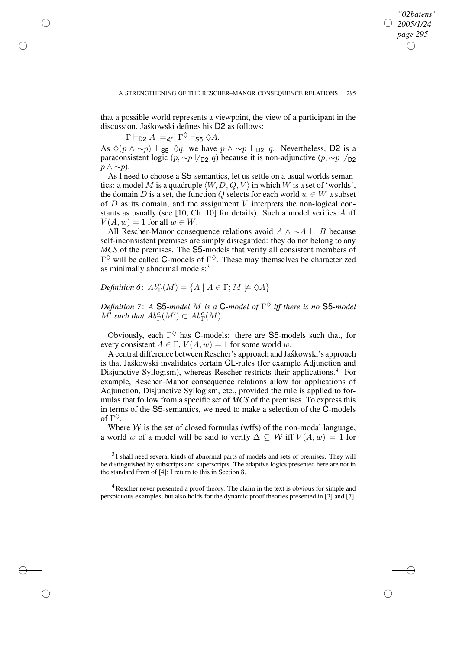✐

that a possible world represents a viewpoint, the view of a participant in the discussion. Jaskowski defines his D2 as follows:

 $\Gamma \vdash_{\textsf{D2}} A =_{df} \Gamma^{\diamondsuit} \vdash_{\textsf{S5}} \diamondsuit A.$ 

✐

✐

✐

✐

As  $\Diamond (p \land \neg p) \vdash_{\mathsf{S5}} \Diamond q$ , we have  $p \land \neg p \vdash_{\mathsf{D2}} q$ . Nevertheless, D2 is a paraconsistent logic (p,  $\sim p \nvDash_{D2} q$ ) because it is non-adjunctive (p,  $\sim p \nvDash_{D2}$  $p \wedge \sim p$ ).

As I need to choose a S5-semantics, let us settle on a usual worlds semantics: a model M is a quadruple  $\langle W, D, Q, V \rangle$  in which W is a set of 'worlds', the domain D is a set, the function Q selects for each world  $w \in W$  a subset of  $D$  as its domain, and the assignment  $V$  interprets the non-logical constants as usually (see [10, Ch. 10] for details). Such a model verifies  $A$  iff  $V(A, w) = 1$  for all  $w \in W$ .

All Rescher-Manor consequence relations avoid  $A \land ∼ A \vdash B$  because self-inconsistent premises are simply disregarded: they do not belong to any *MCS* of the premises. The S5-models that verify all consistent members of  $\Gamma^{\diamondsuit}$  will be called C-models of  $\Gamma^{\diamondsuit}$ . These may themselves be characterized as minimally abnormal models:<sup>3</sup>

*Definition* 6:  $Ab_{\Gamma}^{c}(M) = \{A \mid A \in \Gamma; M \not\models \Diamond A\}$ 

*Definition 7*: *A* S5*-model* M *is a* C*-model of* Γ ♦ *iff there is no* S5*-model*  $M'$  such that  $Ab^c_{\Gamma}(M') \subset Ab^c_{\Gamma}(M)$ .

Obviously, each  $\Gamma^{\diamondsuit}$  has C-models: there are S5-models such that, for every consistent  $A \in \Gamma$ ,  $V(A, w) = 1$  for some world w.

A central difference between Rescher's approach and Jaskowski's approach is that Jaskowski invalidates certain CL-rules (for example Adjunction and Disjunctive Syllogism), whereas Rescher restricts their applications.<sup>4</sup> For example, Rescher–Manor consequence relations allow for applications of Adjunction, Disjunctive Syllogism, etc., provided the rule is applied to formulas that follow from a specific set of *MCS* of the premises. To express this in terms of the S5-semantics, we need to make a selection of the C-models of  $\Gamma^\Diamond$ .

Where  $W$  is the set of closed formulas (wffs) of the non-modal language, a world w of a model will be said to verify  $\Delta \subseteq W$  iff  $V(A, w) = 1$  for

 $3$ I shall need several kinds of abnormal parts of models and sets of premises. They will be distinguished by subscripts and superscripts. The adaptive logics presented here are not in the standard from of [4]; I return to this in Section 8.

<sup>4</sup> Rescher never presented a proof theory. The claim in the text is obvious for simple and perspicuous examples, but also holds for the dynamic proof theories presented in [3] and [7].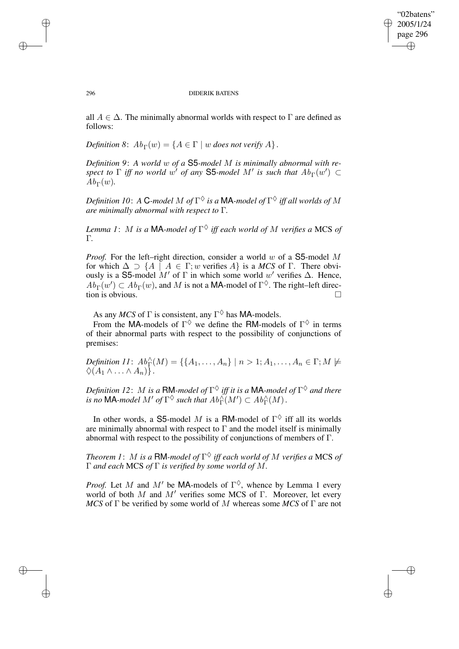✐

#### 296 DIDERIK BATENS

all  $A \in \Delta$ . The minimally abnormal worlds with respect to  $\Gamma$  are defined as follows:

*Definition* 8:  $Ab_{\Gamma}(w) = \{A \in \Gamma \mid w \text{ does not verify } A\}.$ 

*Definition 9*: *A world* w *of a* S5*-model* M *is minimally abnormal with respect* to  $\Gamma$  *iff no world*  $w'$  *of any* S5*-model*  $M'$  *is such that*  $Ab_{\Gamma}(w') \subset$  $\dot{A}b_{\Gamma}(w)$ .

Definition 10: A  ${\mathsf C}$ -model  $M$  of  $\Gamma^\diamondsuit$  is a  ${\mathsf M}$ A-model of  $\Gamma^\diamondsuit$  iff all worlds of  $M$ *are minimally abnormal with respect to* Γ*.*

*Lemma 1*: M *is a* MA*-model of* Γ ♦ *iff each world of* M *verifies a* MCS *of* Γ*.*

*Proof.* For the left–right direction, consider a world w of a S5-model M for which  $\Delta \supset \{A \mid A \in \Gamma; w \text{ verifies } A\}$  is a *MCS* of  $\Gamma$ . There obviously is a S5-model M' of  $\Gamma$  in which some world w' verifies  $\Delta$ . Hence,  $Ab_{\Gamma}(w') \subset Ab_{\Gamma}(w)$ , and M is not a MA-model of  $\Gamma^{\diamondsuit}$ . The right-left direction is obvious.

As any *MCS* of  $\Gamma$  is consistent, any  $\Gamma^{\diamondsuit}$  has MA-models.

From the MA-models of  $\Gamma^{\diamondsuit}$  we define the RM-models of  $\Gamma^{\diamondsuit}$  in terms of their abnormal parts with respect to the possibility of conjunctions of premises:

*Definition*  $11: Ab_{\Gamma}^{\wedge}(M) = \{ \{A_1, \ldots, A_n\} \mid n > 1; A_1, \ldots, A_n \in \Gamma; M \not\models \emptyset \}$  $\Diamond (A_1 \wedge \ldots \wedge A_n)$ .

Definition 12:  $M$  is a  $\mathsf{RM}\text{-}$ model of  $\Gamma^\diamondsuit$  iff it is a  $\mathsf{MA}\text{-}$ model of  $\Gamma^\diamondsuit$  and there is no MA-model  $M'$  of  $\Gamma^\diamondsuit$  such that  $Ab_{\Gamma}^{\wedge}(M') \subset Ab_{\Gamma}^{\wedge}(M)$ .

In other words, a S5-model M is a RM-model of  $\Gamma^{\diamondsuit}$  iff all its worlds are minimally abnormal with respect to  $\Gamma$  and the model itself is minimally abnormal with respect to the possibility of conjunctions of members of Γ.

*Theorem 1*: M *is a* RM*-model of* Γ ♦ *iff each world of* M *verifies a* MCS *of* Γ *and each* MCS *of* Γ *is verified by some world of* M*.*

*Proof.* Let M and M' be MA-models of  $\Gamma^{\diamondsuit}$ , whence by Lemma 1 every world of both M and  $M'$  verifies some MCS of Γ. Moreover, let every *MCS* of Γ be verified by some world of M whereas some *MCS* of Γ are not

✐

✐

✐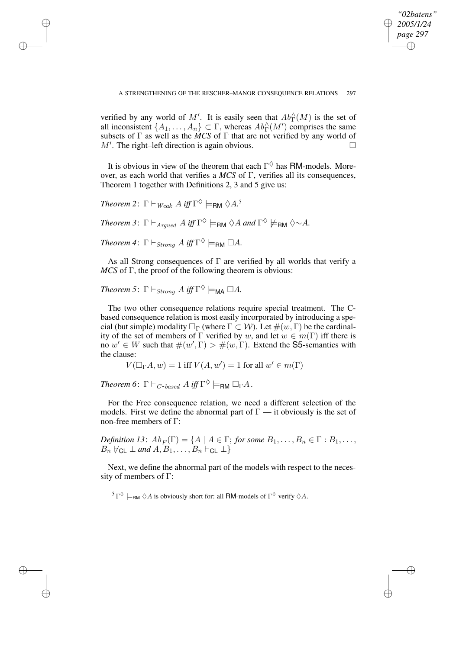✐

A STRENGTHENING OF THE RESCHER–MANOR CONSEQUENCE RELATIONS 297

verified by any world of M'. It is easily seen that  $Ab^{\wedge}_{\Gamma}(M)$  is the set of all inconsistent  $\{A_1, \ldots, A_n\} \subset \Gamma$ , whereas  $Ab_{\Gamma}^{\wedge}(M')$  comprises the same subsets of  $\Gamma$  as well as the *MCS* of  $\Gamma$  that are not verified by any world of  $M'$ . The right–left direction is again obvious.

It is obvious in view of the theorem that each  $\Gamma^{\Diamond}$  has RM-models. Moreover, as each world that verifies a *MCS* of Γ, verifies all its consequences, Theorem 1 together with Definitions 2, 3 and 5 give us:

*Theorem* 2:  $\Gamma \vdash_{Weak} A \text{ iff } \Gamma^{\diamondsuit} \models_{\mathsf{RM}} \diamondsuit A$ <sup>5</sup>

✐

✐

✐

✐

 $Theorem 3: \Gamma \vdash_{Argued} A \text{ iff } \Gamma^{\diamondsuit} \models_{\mathsf{RM}} \diamondsuit A \text{ and } \Gamma^{\diamondsuit} \not\models_{\mathsf{RM}} \diamondsuit \sim A.$ 

*Theorem* 4:  $\Gamma \vdash_{Strong} A$  *iff*  $\Gamma^{\diamondsuit} \models_{\mathsf{RM}} \Box A$ *.* 

As all Strong consequences of  $\Gamma$  are verified by all worlds that verify a *MCS* of Γ, the proof of the following theorem is obvious:

*Theorem* 5:  $\Gamma \vdash_{Strong} A$  *iff*  $\Gamma^{\diamondsuit} \models_{\mathsf{MA}} \Box A$ *.* 

The two other consequence relations require special treatment. The Cbased consequence relation is most easily incorporated by introducing a special (but simple) modality  $\Box_{\Gamma}$  (where  $\Gamma \subset \mathcal{W}$ ). Let  $\#(w, \Gamma)$  be the cardinality of the set of members of  $\Gamma$  verified by w, and let  $w \in m(\Gamma)$  iff there is no  $w' \in W$  such that  $\#(w', \Gamma) > \#(w, \Gamma)$ . Extend the S5-semantics with the clause:

$$
V(\Box_{\Gamma} A, w) = 1 \text{ iff } V(A, w') = 1 \text{ for all } w' \in m(\Gamma)
$$

*Theorem* 6:  $\Gamma \vdash_{C\text{-}based } A \text{ iff } \Gamma^{\diamondsuit} \models_{\textsf{RM}} \Box_{\Gamma} A$ .

For the Free consequence relation, we need a different selection of the models. First we define the abnormal part of  $\Gamma$  — it obviously is the set of non-free members of Γ:

*Definition* 13:  $Ab_F(\Gamma) = \{A \mid A \in \Gamma; \text{ for some } B_1, \ldots, B_n \in \Gamma : B_1, \ldots,$  $B_n \nvDash_{\mathsf{CL}} \bot$  and  $A, B_1, \ldots, B_n \vdash_{\mathsf{CL}} \bot$ 

Next, we define the abnormal part of the models with respect to the necessity of members of Γ:

<sup>5</sup>  $\Gamma^{\lozenge} \models_{\mathsf{RM}} \lozenge A$  is obviously short for: all **RM**-models of  $\Gamma^{\lozenge}$  verify  $\lozenge A$ .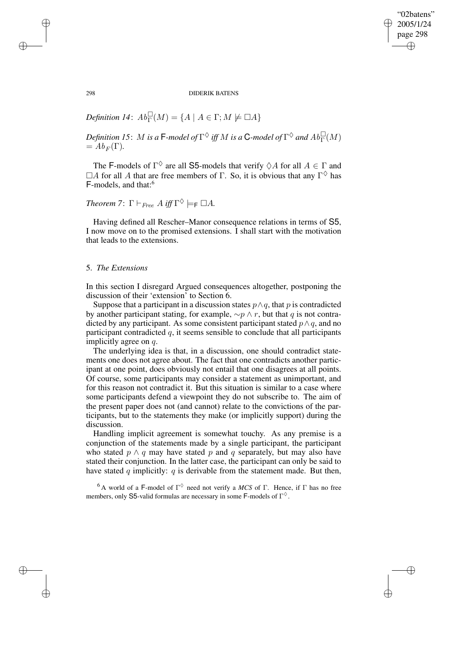✐

298 DIDERIK BATENS

*Definition* 14:  $Ab_{\Gamma}^{\square}(M) = \{A \mid A \in \Gamma; M \not\models \square A\}$ 

Definition 15:  $M$  is a  $\mathsf{F}\text{-}$ model of  $\Gamma^\Diamond$  iff  $M$  is a  $\mathsf{C}\text{-}$ model of  $\Gamma^\Diamond$  and  $Ab_\Gamma^\Box(M)$  $=$   $Ab_F(\Gamma)$ .

The F-models of  $\Gamma^{\lozenge}$  are all S5-models that verify  $\lozenge A$  for all  $A \in \Gamma$  and  $\Box A$  for all A that are free members of  $\Gamma$ . So, it is obvious that any  $\Gamma^{\diamondsuit}$  has F-models, and that:<sup>6</sup>

*Theorem* 7:  $\Gamma \vdash_{Free} A$  *iff*  $\Gamma^{\diamondsuit} \models_{\mathsf{F}} \Box A$ *.* 

Having defined all Rescher–Manor consequence relations in terms of S5, I now move on to the promised extensions. I shall start with the motivation that leads to the extensions.

### 5. *The Extensions*

In this section I disregard Argued consequences altogether, postponing the discussion of their 'extension' to Section 6.

Suppose that a participant in a discussion states  $p \land q$ , that p is contradicted by another participant stating, for example,  $\sim p \land r$ , but that q is not contradicted by any participant. As some consistent participant stated  $p \wedge q$ , and no participant contradicted  $q$ , it seems sensible to conclude that all participants implicitly agree on q.

The underlying idea is that, in a discussion, one should contradict statements one does not agree about. The fact that one contradicts another participant at one point, does obviously not entail that one disagrees at all points. Of course, some participants may consider a statement as unimportant, and for this reason not contradict it. But this situation is similar to a case where some participants defend a viewpoint they do not subscribe to. The aim of the present paper does not (and cannot) relate to the convictions of the participants, but to the statements they make (or implicitly support) during the discussion.

Handling implicit agreement is somewhat touchy. As any premise is a conjunction of the statements made by a single participant, the participant who stated  $p \wedge q$  may have stated p and q separately, but may also have stated their conjunction. In the latter case, the participant can only be said to have stated  $q$  implicitly:  $q$  is derivable from the statement made. But then,

<sup>6</sup> A world of a F-model of  $\Gamma^{\diamondsuit}$  need not verify a *MCS* of  $\Gamma$ . Hence, if  $\Gamma$  has no free members, only S5-valid formulas are necessary in some F-models of  $\Gamma^{\diamond}$ .

✐

✐

✐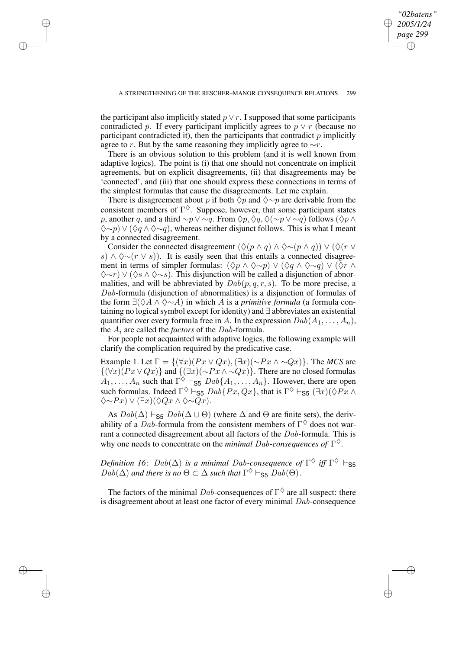*"02batens" 2005/1/24 page 299*

✐

✐

✐

✐

the participant also implicitly stated  $p \vee r$ . I supposed that some participants contradicted p. If every participant implicitly agrees to  $p \vee r$  (because no participant contradicted it), then the participants that contradict  $p$  implicitly agree to r. But by the same reasoning they implicitly agree to  $\sim r$ .

✐

✐

✐

✐

There is an obvious solution to this problem (and it is well known from adaptive logics). The point is (i) that one should not concentrate on implicit agreements, but on explicit disagreements, (ii) that disagreements may be 'connected', and (iii) that one should express these connections in terms of the simplest formulas that cause the disagreements. Let me explain.

There is disagreement about p if both  $\Diamond p$  and  $\Diamond \sim p$  are derivable from the consistent members of  $\Gamma^{\diamondsuit}$ . Suppose, however, that some participant states p, another q, and a third  $\sim p \vee \sim q$ . From  $\Diamond p, \Diamond q, \Diamond (\sim p \vee \sim q)$  follows ( $\Diamond p \wedge q$ )  $\Diamond \sim p$ )  $\lor (\Diamond q \land \Diamond \sim q)$ , whereas neither disjunct follows. This is what I meant by a connected disagreement.

Consider the connected disagreement  $(\Diamond (p \land q) \land \Diamond \sim (p \land q)) \lor (\Diamond (r \lor q))$ s)  $\land \Diamond \sim (r \lor s)$ . It is easily seen that this entails a connected disagreement in terms of simpler formulas:  $(\Diamond p \land \Diamond \sim p) \lor (\Diamond q \land \Diamond \sim q) \lor (\Diamond r \land \Diamond \sim q)$  $\Diamond \sim r$ )  $\lor$  ( $\Diamond s \land \Diamond \sim s$ ). This disjunction will be called a disjunction of abnormalities, and will be abbreviated by  $Dab(p, q, r, s)$ . To be more precise, a Dab-formula (disjunction of abnormalities) is a disjunction of formulas of the form ∃(♦A ∧ ♦∼A) in which A is a *primitive formula* (a formula containing no logical symbol except for identity) and ∃ abbreviates an existential quantifier over every formula free in A. In the expression  $Dab(A_1, \ldots, A_n)$ , the A<sup>i</sup> are called the *factors* of the Dab-formula.

For people not acquainted with adaptive logics, the following example will clarify the complication required by the predicative case.

Example 1. Let  $\Gamma = \{(\forall x)(Px \lor Qx), (\exists x)(\sim Px \land \sim Qx)\}.$  The *MCS* are  $\{(\forall x)(Px \lor Qx)\}\$ and  $\{(\exists x)(\sim Px \land \sim Qx)\}\$ . There are no closed formulas  $A_1, \ldots, A_n$  such that  $\Gamma^{\diamondsuit} \vdash_{\mathsf{S5}} Dab\{A_1, \ldots, A_n\}$ . However, there are open such formulas. Indeed  $\Gamma^{\diamondsuit} \vdash_{\mathsf{S5}} \mathit{Dab} \{Px, Qx\}$ , that is  $\Gamma^{\diamondsuit} \vdash_{\mathsf{S5}} (\exists x) (\diamondsuit P_x \wedge$  $\Diamond \sim P_x$ )  $\lor (\exists x)(\Diamond Q_x \land \Diamond \sim Q_x)$ .

As  $Dab(\Delta) \vdash_{\mathsf{S5}} Dab(\Delta \cup \Theta)$  (where  $\Delta$  and  $\Theta$  are finite sets), the derivability of a Dab-formula from the consistent members of  $\Gamma^{\diamondsuit}$  does not warrant a connected disagreement about all factors of the  $Dab$ -formula. This is why one needs to concentrate on the *minimal* Dab-*consequences of* Γ ♦.

*Definition 16:*  $Dab(\Delta)$  *is a minimal Dab-consequence of*  $\Gamma^{\diamondsuit}$  *iff*  $\Gamma^{\diamondsuit} \vdash_{\mathsf{S5}}$  $Dab(\Delta)$  and there is no  $\Theta \subset \Delta$  such that  $\Gamma^{\lozenge} \vdash_{\mathsf{S5}} Dab(\Theta)$ .

The factors of the minimal  $Dab$ -consequences of  $\Gamma^{\diamondsuit}$  are all suspect: there is disagreement about at least one factor of every minimal  $Dab$ -consequence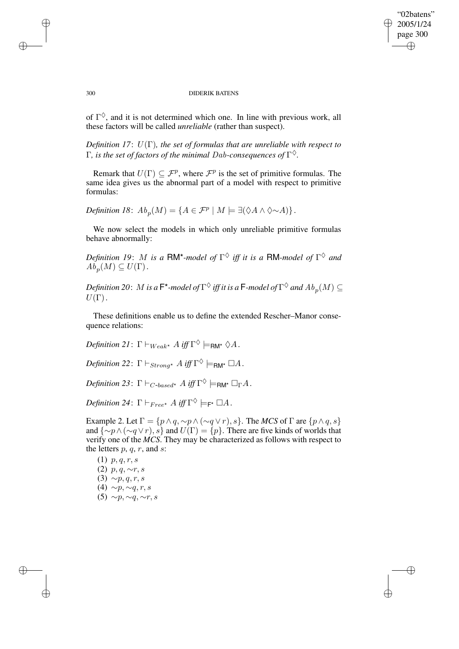## "02batens" 2005/1/24 page 300 ✐ ✐

✐

✐

#### 300 DIDERIK BATENS

of  $\Gamma^{\diamondsuit}$ , and it is not determined which one. In line with previous work, all these factors will be called *unreliable* (rather than suspect).

*Definition 17*: U(Γ)*, the set of formulas that are unreliable with respect to* Γ*, is the set of factors of the minimal* Dab*-consequences of* Γ ♦*.*

Remark that  $U(\Gamma) \subseteq \mathcal{F}^p$ , where  $\mathcal{F}^p$  is the set of primitive formulas. The same idea gives us the abnormal part of a model with respect to primitive formulas:

*Definition 18*:  $Ab_p(M) = \{A \in \mathcal{F}^p \mid M \models \exists (\Diamond A \land \Diamond \sim A)\}.$ 

We now select the models in which only unreliable primitive formulas behave abnormally:

*Definition 19: M is a*  $\mathsf{RM}^\star$ *-model of*  $\Gamma^\diamondsuit$  *iff it is a*  $\mathsf{RM}$ *-model of*  $\Gamma^\diamondsuit$  *and*  $\tilde{Ab_p}(M) \subseteq U(\Gamma)$ .

Definition 20:  $M$  is a  $\mathsf{F}^\star$ -model of  $\Gamma^\diamondsuit$  iff it is a  $\mathsf{F}\text{-}$ model of  $\Gamma^\diamondsuit$  and  $Ab_p(M)\subseteq$  $U(\Gamma)$ .

These definitions enable us to define the extended Rescher–Manor consequence relations:

 $Definition \ 21 \colon \Gamma \vdash_{Weak^{\star}} A \ iff \ \Gamma^{\diamondsuit} \models_{\mathsf{RM}^{\star}} \diamondsuit A$  *.* 

 $Definition$   $22$ :  $\Gamma \vdash_{Strong^{\star}} A$  *iff*  $\Gamma^{\diamondsuit} \models_{\mathsf{RM}^{\star}} \Box A$ .

*Definition* 23:  $\Gamma \vdash_{C\text{-}based^*} A \text{ iff } \Gamma^{\lozenge} \models_{\text{RM}^*} \Box_{\Gamma} A$ .

*Definition* 24:  $\Gamma \vdash_{Free^{\star}} A$  *iff*  $\Gamma^{\lozenge} \models_{\mathsf{F}^{\star}} \Box A$ .

Example 2. Let  $\Gamma = \{p \land q, \sim p \land (\sim q \lor r), s\}$ . The *MCS* of  $\Gamma$  are  $\{p \land q, s\}$ and  $\{\sim p \land (\sim q \lor r), s\}$  and  $U(\Gamma) = \{p\}$ . There are five kinds of worlds that verify one of the *MCS*. They may be characterized as follows with respect to the letters  $p, q, r$ , and  $s$ :

 $(1)$  p, q, r, s (2)  $p, q, \sim r, s$  $(3) \sim p, q, r, s$ (4)  $\sim p, \sim q, r, s$ (5)  $\sim p, \sim q, \sim r, s$ 

✐

✐

✐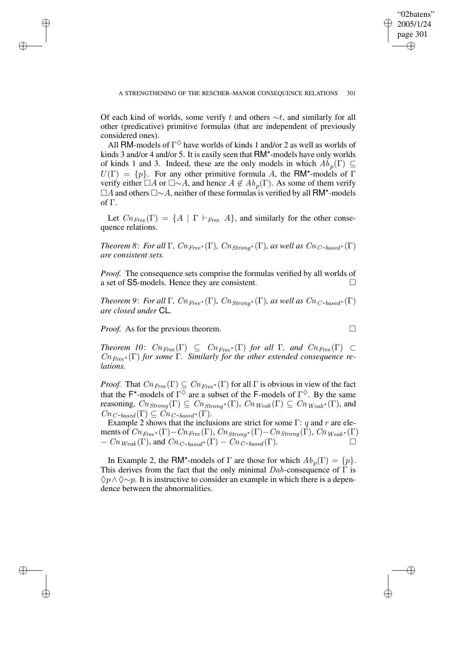Of each kind of worlds, some verify t and others  $\sim t$ , and similarly for all other (predicative) primitive formulas (that are independent of previously considered ones).

All RM-models of  $\Gamma^{\diamondsuit}$  have worlds of kinds 1 and/or 2 as well as worlds of kinds 3 and/or 4 and/or 5. It is easily seen that RM\*-models have only worlds of kinds 1 and 3. Indeed, these are the only models in which  $\overline{Ab}_p(\Gamma) \subseteq$  $U(\Gamma) = \{p\}$ . For any other primitive formula A, the RM\*-models of  $\Gamma$ verify either  $\Box A$  or  $\Box \sim A$ , and hence  $A \notin Ab_p(\Gamma)$ . As some of them verify A and others ∼A, neither of these formulasis verified by all RM\*-models of Γ.

Let  $Cn_{Free}(\Gamma) = \{A \mid \Gamma \vdash_{Free} A\}$ , and similarly for the other consequence relations.

*Theorem* 8: *For all*  $\Gamma$ *, Cn*<sub>Free</sub>\*( $\Gamma$ *), Cn*<sub>Strong</sub>\*( $\Gamma$ *), as well as Cn*<sub>C</sub>-based\*( $\Gamma$ ) *are consistent sets.*

*Proof.* The consequence sets comprise the formulas verified by all worlds of a set of S5-models. Hence they are consistent.

*Theorem* 9: *For all*  $\Gamma$ *, Cn*<sub>Free</sub>\*( $\Gamma$ *), Cn*<sub>Strong</sub>\*( $\Gamma$ *), as well as Cn*<sub>C-based</sub>\*( $\Gamma$ ) *are closed under* CL*.*

*Proof.* As for the previous theorem.

✐

✐

✐

✐

$$
\qquad \qquad \Box
$$

✐

✐

 $Theorem 10:$   $Cn_{Free}(\Gamma) \subseteq Cn_{Free}(\Gamma)$  *for all*  $\Gamma$ *, and*  $Cn_{Free}(\Gamma) \subset$ CnFree ? (Γ) *for some* Γ*. Similarly for the other extended consequence relations.*

*Proof.* That  $Cn_{Free}(\Gamma) \subseteq Cn_{Free^{\star}}(\Gamma)$  for all  $\Gamma$  is obvious in view of the fact that the F<sup>\*</sup>-models of  $\Gamma^{\diamondsuit}$  are a subset of the F-models of  $\Gamma^{\diamondsuit}$ . By the same reasoning,  $Cn_{Strong}(\Gamma) \subseteq Cn_{Strong^{\star}}(\Gamma)$ ,  $Cn_{Weak}(\Gamma) \subseteq Cn_{Weak^{\star}}(\Gamma)$ , and  $Cn_{C-based}(\Gamma) \subseteq \overset{\sim}{C}n_{C-based^{\star}}(\Gamma).$ 

Example 2 shows that the inclusions are strict for some  $\Gamma$ : q and r are elements of  $Cn_{Free^\star}(\Gamma)-Cn_{Free}(\Gamma),$   $Cn_{Strong^\star}(\Gamma)-Cn_{Strong}(\tilde{\Gamma}),$   $Cn_{Weak^\star}(\Gamma)$  $- Cn_{Weak}(\Gamma)$ , and  $Cn_{C-based^*}(\Gamma) - Cn_{C-based}(\Gamma)$ .

In Example 2, the RM<sup>\*</sup>-models of  $\Gamma$  are those for which  $Ab_p(\Gamma) = \{p\}.$ This derives from the fact that the only minimal  $Dab$ -consequence of  $\Gamma$  is  $\Diamond p \land \Diamond \sim p$ . It is instructive to consider an example in which there is a dependence between the abnormalities.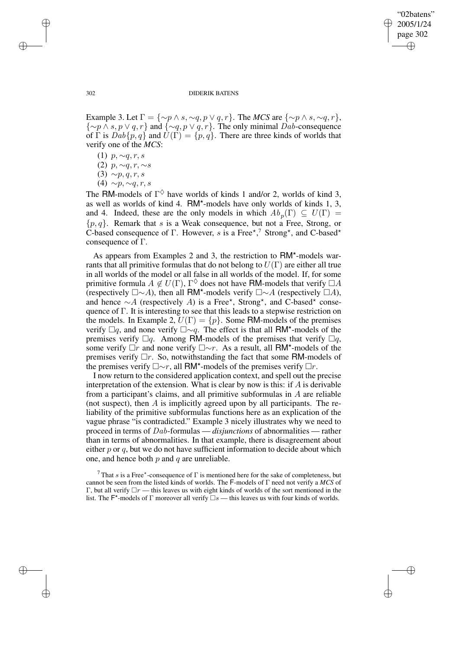✐

#### 302 DIDERIK BATENS

Example 3. Let  $\Gamma = \{\sim p \land s, \sim q, p \lor q, r\}$ . The *MCS* are  $\{\sim p \land s, \sim q, r\}$ ,  $\{\sim p \land s, p \lor q, r\}$  and  $\{\sim q, p \lor q, r\}$ . The only minimal Dab-consequence of  $\Gamma$  is  $Dab\{p,q\}$  and  $\tilde{U}(\Gamma) = \{p,q\}$ . There are three kinds of worlds that verify one of the *MCS*:

- (1)  $p, \sim q, r, s$
- (2)  $p, \sim q, r, \sim s$
- (3)  $\sim p, q, r, s$
- $(4) \sim p, \sim q, r, s$

The RM-models of  $\Gamma^{\diamondsuit}$  have worlds of kinds 1 and/or 2, worlds of kind 3, as well as worlds of kind 4. RM\*-models have only worlds of kinds 1, 3, and 4. Indeed, these are the only models in which  $Ab_p(\Gamma) \subseteq U(\Gamma) =$  $\{p, q\}$ . Remark that s is a Weak consequence, but not a Free, Strong, or C-based consequence of  $\Gamma$ . However, s is a Free<sup>\*,7</sup> Strong<sup>\*</sup>, and C-based<sup>\*</sup> consequence of  $\Gamma$ .

As appears from Examples 2 and 3, the restriction to RM\*-models warrants that all primitive formulas that do not belong to  $U(\Gamma)$  are either all true in all worlds of the model or all false in all worlds of the model. If, for some primitive formula  $A \notin U(\Gamma)$ ,  $\Gamma^{\diamondsuit}$  does not have RM-models that verify  $\Box A$ (respectively  $\square \sim A$ ), then all RM<sup>\*</sup>-models verify  $\square \sim A$  (respectively  $\square A$ ), and hence  $\sim A$  (respectively A) is a Free\*, Strong\*, and C-based\* consequence of Γ. It is interesting to see that this leads to a stepwise restriction on the models. In Example 2,  $U(\Gamma) = \{p\}$ . Some RM-models of the premises verify  $\Box q$ , and none verify  $\Box \sim q$ . The effect is that all RM\*-models of the premises verify  $\Box q$ . Among RM-models of the premises that verify  $\Box q$ , some verify  $\Box r$  and none verify  $\Box \sim r$ . As a result, all RM\*-models of the premises verify  $\Box r$ . So, notwithstanding the fact that some RM-models of the premises verify  $\Box \sim r$ , all RM<sup>\*</sup>-models of the premises verify  $\Box r$ .

I now return to the considered application context, and spell out the precise interpretation of the extension. What is clear by now is this: if  $A$  is derivable from a participant's claims, and all primitive subformulas in A are reliable (not suspect), then A is implicitly agreed upon by all participants. The reliability of the primitive subformulas functions here as an explication of the vague phrase "is contradicted." Example 3 nicely illustrates why we need to proceed in terms of Dab-formulas — *disjunctions* of abnormalities — rather than in terms of abnormalities. In that example, there is disagreement about either  $p$  or  $q$ , but we do not have sufficient information to decide about which one, and hence both  $p$  and  $q$  are unreliable.

✐

✐

✐

<sup>&</sup>lt;sup>7</sup> That s is a Free\*-consequence of  $\Gamma$  is mentioned here for the sake of completeness, but cannot be seen from the listed kinds of worlds. The F-models of Γ need not verify a *MCS* of Γ, but all verify  $\Box r$  — this leaves us with eight kinds of worlds of the sort mentioned in the list. The F<sup>\*</sup>-models of Γ moreover all verify  $\square s$  — this leaves us with four kinds of worlds.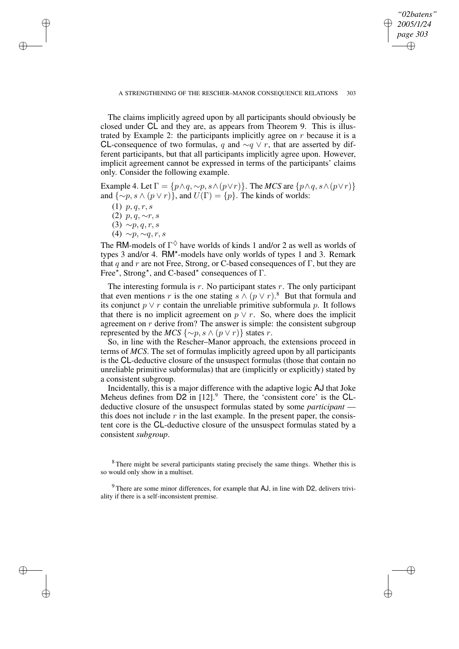*"02batens" 2005/1/24 page 303* ✐ ✐

✐

✐

The claims implicitly agreed upon by all participants should obviously be closed under CL and they are, as appears from Theorem 9. This is illustrated by Example 2: the participants implicitly agree on  $r$  because it is a CL-consequence of two formulas, q and  $\sim q \vee r$ , that are asserted by different participants, but that all participants implicitly agree upon. However, implicit agreement cannot be expressed in terms of the participants' claims only. Consider the following example.

Example 4. Let  $\Gamma = \{p \land q, \sim p, s \land (p \lor r)\}\$ . The *MCS* are  $\{p \land q, s \land (p \lor r)\}\$ and  $\{\sim p, s \wedge (p \vee r)\}\$ , and  $U(\Gamma) = \{p\}$ . The kinds of worlds:

(1)  $p, q, r, s$ 

✐

✐

✐

✐

- (2)  $p, q, \sim r, s$
- (3)  $\sim p, q, r, s$ (4)  $\sim p, \sim q, r, s$
- 

The RM-models of  $\Gamma^{\diamondsuit}$  have worlds of kinds 1 and/or 2 as well as worlds of types 3 and/or 4. RM\*-models have only worlds of types 1 and 3. Remark that q and r are not Free, Strong, or C-based consequences of  $\Gamma$ , but they are Free<sup> $\vec{\star}$ </sup>, Strong<sup>\*</sup>, and C-based<sup>\*</sup> consequences of  $\Gamma$ .

The interesting formula is  $r$ . No participant states  $r$ . The only participant that even mentions r is the one stating  $s \wedge (p \vee r)^{s}$ . But that formula and its conjunct  $p \vee r$  contain the unreliable primitive subformula p. It follows that there is no implicit agreement on  $p \vee r$ . So, where does the implicit agreement on  $r$  derive from? The answer is simple: the consistent subgroup represented by the *MCS* {∼p, s  $\land$  (p  $\lor$  r)} states r.

So, in line with the Rescher–Manor approach, the extensions proceed in terms of *MCS*. The set of formulas implicitly agreed upon by all participants is the CL-deductive closure of the unsuspect formulas (those that contain no unreliable primitive subformulas) that are (implicitly or explicitly) stated by a consistent subgroup.

Incidentally, this is a major difference with the adaptive logic AJ that Joke Meheus defines from  $\overline{D2}$  in  $[12]$ .<sup>9</sup> There, the 'consistent core' is the CLdeductive closure of the unsuspect formulas stated by some *participant* this does not include  $r$  in the last example. In the present paper, the consistent core is the CL-deductive closure of the unsuspect formulas stated by a consistent *subgroup*.

<sup>8</sup> There might be several participants stating precisely the same things. Whether this is so would only show in a multiset.

 $9$  There are some minor differences, for example that AJ, in line with D2, delivers triviality if there is a self-inconsistent premise.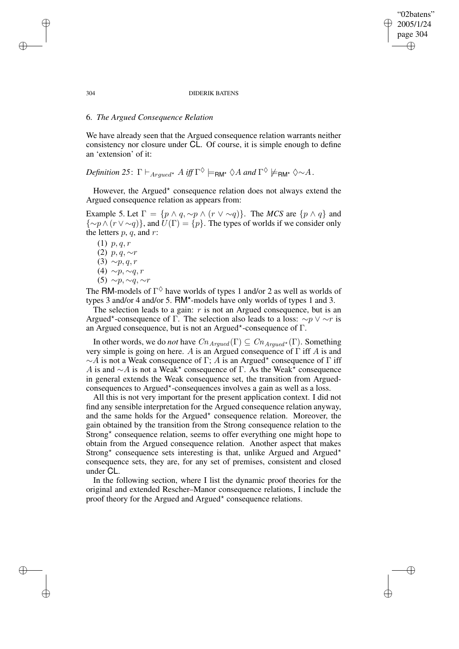### "02batens" 2005/1/24 page 304 ✐ ✐

✐

✐

#### 304 DIDERIK BATENS

### 6. *The Argued Consequence Relation*

We have already seen that the Argued consequence relation warrants neither consistency nor closure under CL. Of course, it is simple enough to define an 'extension' of it:

 $Definition 25: \Gamma \vdash_{Argued^{\star}} A \text{ iff } \Gamma^{\diamondsuit} \models_{\mathsf{RM}^{\star}} \diamondsuit A \text{ and } \Gamma^{\diamondsuit} \not\models_{\mathsf{RM}^{\star}} \diamondsuit \sim A$ .

However, the Argued\* consequence relation does not always extend the Argued consequence relation as appears from:

Example 5. Let  $\Gamma = \{p \land q, \sim p \land (r \lor \sim q)\}.$  The *MCS* are  $\{p \land q\}$  and  $\{\sim p \wedge (r \vee \sim q)\}\$ , and  $U(\Gamma) = \{p\}$ . The types of worlds if we consider only the letters  $p, q$ , and  $r$ :

 $(1)$  p, q, r (2)  $p, q, \sim r$ (3)  $\sim p, q, r$ (4)  $\sim p, \sim q, r$ (5) ∼p, ∼q, ∼r

The RM-models of  $\Gamma^{\diamondsuit}$  have worlds of types 1 and/or 2 as well as worlds of types 3 and/or 4 and/or 5. RM\*-models have only worlds of types 1 and 3.

The selection leads to a gain:  $r$  is not an Argued consequence, but is an Argued<sup>\*</sup>-consequence of Γ. The selection also leads to a loss:  $\sim p \vee \sim r$  is an Argued consequence, but is not an Argued? -consequence of Γ.

In other words, we do *not* have  $Cn_{Argued}(\Gamma) \subseteq Cn_{Argued}(\Gamma)$ . Something very simple is going on here. A is an Argued consequence of  $\Gamma$  iff A is and  $\sim$  A is not a Weak consequence of Γ; A is an Argued\* consequence of Γ iff A is and  $\sim$  A is not a Weak<sup>\*</sup> consequence of Γ. As the Weak<sup>\*</sup> consequence in general extends the Weak consequence set, the transition from Arguedconsequences to Argued\*-consequences involves a gain as well as a loss.

All this is not very important for the present application context. I did not find any sensible interpretation for the Argued consequence relation anyway, and the same holds for the Argued<sup>\*</sup> consequence relation. Moreover, the gain obtained by the transition from the Strong consequence relation to the Strong\* consequence relation, seems to offer everything one might hope to obtain from the Argued consequence relation. Another aspect that makes Strong\* consequence sets interesting is that, unlike Argued and Argued\* consequence sets, they are, for any set of premises, consistent and closed under CL.

In the following section, where I list the dynamic proof theories for the original and extended Rescher–Manor consequence relations, I include the proof theory for the Argued and Argued\* consequence relations.

✐

✐

✐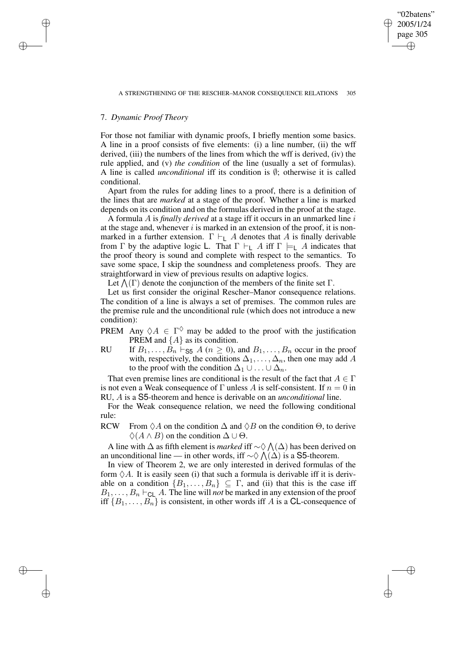✐

# 7. *Dynamic Proof Theory*

✐

✐

✐

✐

For those not familiar with dynamic proofs, I briefly mention some basics. A line in a proof consists of five elements: (i) a line number, (ii) the wff derived, (iii) the numbers of the lines from which the wff is derived, (iv) the rule applied, and (v) *the condition* of the line (usually a set of formulas). A line is called *unconditional* iff its condition is ∅; otherwise it is called conditional.

Apart from the rules for adding lines to a proof, there is a definition of the lines that are *marked* at a stage of the proof. Whether a line is marked depends on its condition and on the formulas derived in the proof at the stage.

A formula A is *finally derived* at a stage iff it occurs in an unmarked line i at the stage and, whenever  $i$  is marked in an extension of the proof, it is nonmarked in a further extension.  $\Gamma \vdash_{\mathsf{L}} A$  denotes that A is finally derivable from Γ by the adaptive logic L. That  $\Gamma \vdash_{\mathsf{L}} A$  iff  $\Gamma \models_{\mathsf{L}} A$  indicates that the proof theory is sound and complete with respect to the semantics. To save some space, I skip the soundness and completeness proofs. They are straightforward in view of previous results on adaptive logics.

Let  $\Lambda(\Gamma)$  denote the conjunction of the members of the finite set  $\Gamma$ .

Let us first consider the original Rescher–Manor consequence relations. The condition of a line is always a set of premises. The common rules are the premise rule and the unconditional rule (which does not introduce a new condition):

- PREM Any  $\Diamond A \in \Gamma^{\Diamond}$  may be added to the proof with the justification PREM and  $\{A\}$  as its condition.
- RU If  $B_1, \ldots, B_n \vdash_{\mathsf{S5}} A$  ( $n \geq 0$ ), and  $B_1, \ldots, B_n$  occur in the proof with, respectively, the conditions  $\Delta_1, \ldots, \Delta_n$ , then one may add A to the proof with the condition  $\Delta_1 \cup \ldots \cup \Delta_n$ .

That even premise lines are conditional is the result of the fact that  $A \in \Gamma$ is not even a Weak consequence of  $\Gamma$  unless A is self-consistent. If  $n = 0$  in RU, A is a S5-theorem and hence is derivable on an *unconditional* line.

For the Weak consequence relation, we need the following conditional rule:

RCW From  $\Diamond A$  on the condition  $\Delta$  and  $\Diamond B$  on the condition  $\Theta$ , to derive  $\Diamond(A \land B)$  on the condition  $\Delta \cup \Theta$ .

A line with  $\Delta$  as fifth element is *marked* iff  $\sim \Diamond \wedge (\Delta)$  has been derived on an unconditional line — in other words, iff  $\sim \Diamond \bigwedge(\Delta)$  is a S5-theorem.

In view of Theorem 2, we are only interested in derived formulas of the form  $\Diamond A$ . It is easily seen (i) that such a formula is derivable iff it is derivable on a condition  $\{B_1, \ldots, B_n\} \subseteq \Gamma$ , and (ii) that this is the case iff  $B_1, \ldots, B_n \vdash_{\text{CL}} A$ . The line will *not* be marked in any extension of the proof iff  ${B_1, \ldots, B_n}$  is consistent, in other words iff A is a CL-consequence of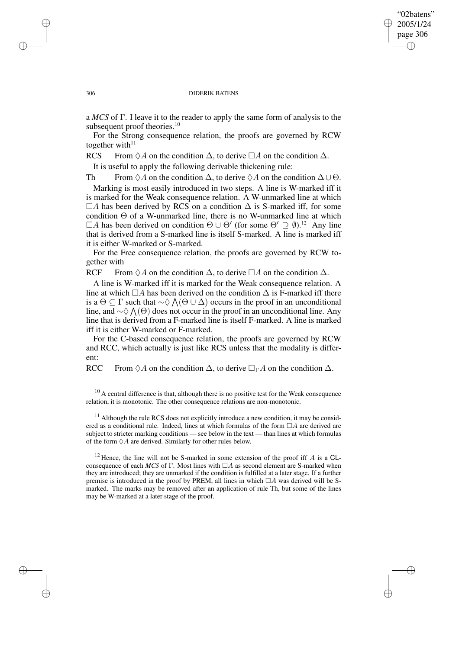### "02batens" 2005/1/24 page 306 ✐ ✐

✐

✐

#### 306 DIDERIK BATENS

a *MCS* of Γ. I leave it to the reader to apply the same form of analysis to the subsequent proof theories.<sup>10</sup>

For the Strong consequence relation, the proofs are governed by RCW together with $11$ 

RCS From  $\Diamond A$  on the condition  $\Delta$ , to derive  $\Box A$  on the condition  $\Delta$ .

It is useful to apply the following derivable thickening rule:

Th From  $\Diamond A$  on the condition  $\Delta$ , to derive  $\Diamond A$  on the condition  $\Delta \cup \Theta$ .

Marking is most easily introduced in two steps. A line is W-marked iff it is marked for the Weak consequence relation. A W-unmarked line at which  $\Box A$  has been derived by RCS on a condition  $\Delta$  is S-marked iff, for some condition  $\Theta$  of a W-unmarked line, there is no W-unmarked line at which  $\Box A$  has been derived on condition  $\Theta \cup \Theta'$  (for some  $\Theta' \supseteq \emptyset$ ).<sup>12</sup> Any line that is derived from a S-marked line is itself S-marked. A line is marked iff it is either W-marked or S-marked.

For the Free consequence relation, the proofs are governed by RCW together with

RCF From  $\Diamond A$  on the condition  $\Delta$ , to derive  $\Box A$  on the condition  $\Delta$ .

A line is W-marked iff it is marked for the Weak consequence relation. A line at which  $\Box A$  has been derived on the condition  $\Delta$  is F-marked iff there is a  $\Theta \subseteq \Gamma$  such that  $\sim \Diamond \bigwedge (\Theta \cup \Delta)$  occurs in the proof in an unconditional line, and  $\sim \Diamond \bigwedge(\Theta)$  does not occur in the proof in an unconditional line. Any line that is derived from a F-marked line is itself F-marked. A line is marked iff it is either W-marked or F-marked.

For the C-based consequence relation, the proofs are governed by RCW and RCC, which actually is just like RCS unless that the modality is different:

RCC From  $\Diamond A$  on the condition  $\Delta$ , to derive  $\Box_{\Gamma} A$  on the condition  $\Delta$ .

 $10$  A central difference is that, although there is no positive test for the Weak consequence relation, it is monotonic. The other consequence relations are non-monotonic.

 $11$  Although the rule RCS does not explicitly introduce a new condition, it may be considered as a conditional rule. Indeed, lines at which formulas of the form  $\Box A$  are derived are subject to stricter marking conditions — see below in the text — than lines at which formulas of the form  $\Diamond A$  are derived. Similarly for other rules below.

<sup>12</sup> Hence, the line will not be S-marked in some extension of the proof iff  $A$  is a CLconsequence of each *MCS* of Γ. Most lines with  $\Box A$  as second element are S-marked when they are introduced; they are unmarked if the condition is fulfilled at a later stage. If a further premise is introduced in the proof by PREM, all lines in which  $\Box A$  was derived will be Smarked. The marks may be removed after an application of rule Th, but some of the lines may be W-marked at a later stage of the proof.

✐

✐

✐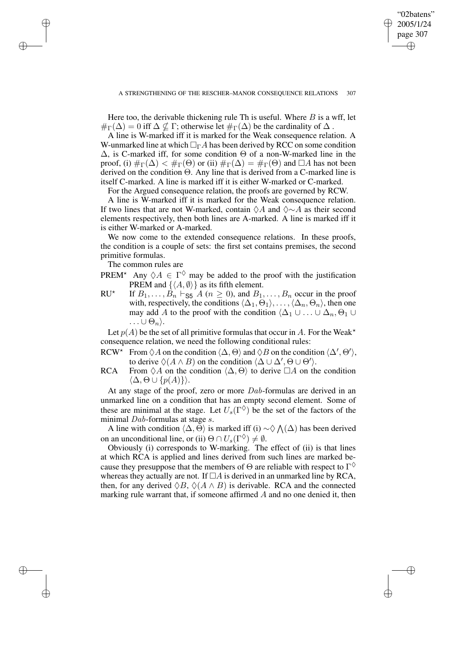"02batens" 2005/1/24 page 307

✐

✐

✐

✐

Here too, the derivable thickening rule Th is useful. Where  $B$  is a wff, let  $\#_{\Gamma}(\Delta) = 0$  iff  $\Delta \nsubseteq \Gamma$ ; otherwise let  $\#_{\Gamma}(\Delta)$  be the cardinality of  $\Delta$ .

A line is W-marked iff it is marked for the Weak consequence relation. A W-unmarked line at which  $\Box_{\Gamma} A$  has been derived by RCC on some condition  $\Delta$ , is C-marked iff, for some condition  $\Theta$  of a non-W-marked line in the proof, (i)  $\#_{\Gamma}(\Delta) < \#_{\Gamma}(\Theta)$  or (ii)  $\#_{\Gamma}(\Delta) = \#_{\Gamma}(\Theta)$  and  $\Box A$  has not been derived on the condition Θ. Any line that is derived from a C-marked line is itself C-marked. A line is marked iff it is either W-marked or C-marked.

For the Argued consequence relation, the proofs are governed by RCW.

A line is W-marked iff it is marked for the Weak consequence relation. If two lines that are not W-marked, contain  $\Diamond A$  and  $\Diamond \sim A$  as their second elements respectively, then both lines are A-marked. A line is marked iff it is either W-marked or A-marked.

We now come to the extended consequence relations. In these proofs, the condition is a couple of sets: the first set contains premises, the second primitive formulas.

The common rules are

✐

✐

✐

✐

- PREM<sup>\*</sup> Any  $\Diamond A \in \Gamma^{\Diamond}$  may be added to the proof with the justification PREM and  $\{\langle A, \emptyset \rangle\}$  as its fifth element.
- $RU^{\star}$ If  $B_1, \ldots, B_n \vdash_{\mathsf{S5}} A$  ( $n \geq 0$ ), and  $B_1, \ldots, B_n$  occur in the proof with, respectively, the conditions  $\langle \Delta_1, \Theta_1 \rangle, \ldots, \langle \Delta_n, \Theta_n \rangle$ , then one may add A to the proof with the condition  $\langle \Delta_1 \cup ... \cup \Delta_n, \Theta_1 \cup \Theta_n \rangle$  $\ldots \cup \Theta_n$ .

Let  $p(A)$  be the set of all primitive formulas that occur in A. For the Weak<sup>\*</sup> consequence relation, we need the following conditional rules:

- RCW<sup>\*</sup> From  $\Diamond A$  on the condition  $\langle \Delta, \Theta \rangle$  and  $\Diamond B$  on the condition  $\langle \Delta', \Theta' \rangle$ , to derive  $\Diamond(A \land B)$  on the condition  $\Diamond \Delta \cup \Delta', \Theta \cup \Theta' \rangle$ .
- RCA From  $\Diamond A$  on the condition  $\langle \Delta, \Theta \rangle$  to derive  $\Box A$  on the condition  $\langle \Delta, \Theta \cup \{p(A)\}\rangle.$

At any stage of the proof, zero or more Dab-formulas are derived in an unmarked line on a condition that has an empty second element. Some of these are minimal at the stage. Let  $U_s(\Gamma^{\diamondsuit})$  be the set of the factors of the minimal Dab-formulas at stage s.

A line with condition  $\langle \Delta, \Theta \rangle$  is marked iff (i) ~ $\diamondsuit \bigwedge(\Delta)$  has been derived on an unconditional line, or (ii)  $\Theta \cap U_s(\Gamma^\diamondsuit) \neq \emptyset$ .

Obviously (i) corresponds to W-marking. The effect of (ii) is that lines at which RCA is applied and lines derived from such lines are marked because they presuppose that the members of  $\Theta$  are reliable with respect to  $\Gamma^{\diamondsuit}$ whereas they actually are not. If  $\Box A$  is derived in an unmarked line by RCA, then, for any derived  $\Diamond B$ ,  $\Diamond (A \land B)$  is derivable. RCA and the connected marking rule warrant that, if someone affirmed  $A$  and no one denied it, then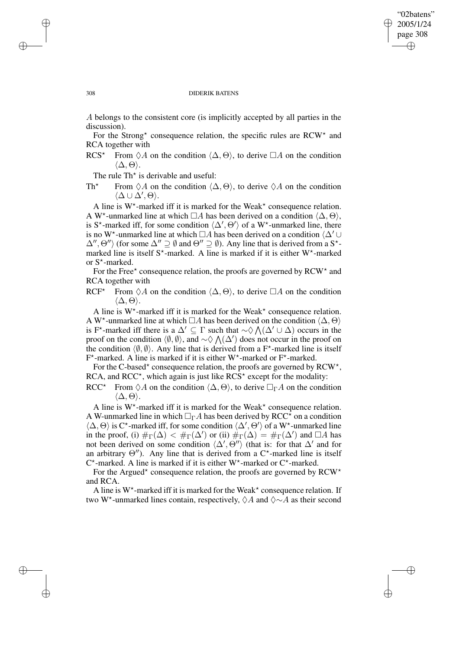✐

#### 308 DIDERIK BATENS

A belongs to the consistent core (is implicitly accepted by all parties in the discussion).

For the Strong\* consequence relation, the specific rules are RCW\* and RCA together with

RCS<sup>\*</sup> From  $\Diamond A$  on the condition  $\langle \Delta, \Theta \rangle$ , to derive  $\Box A$  on the condition  $\langle \Delta, \Theta \rangle$ .

The rule  $Th^*$  is derivable and useful:

Th<sup>\*</sup> From  $\Diamond A$  on the condition  $\langle \Delta, \Theta \rangle$ , to derive  $\Diamond A$  on the condition  $\langle \Delta \cup \overline{\Delta}', \Theta \rangle.$ 

A line is  $W^*$ -marked iff it is marked for the Weak<sup>\*</sup> consequence relation. A W<sup>\*</sup>-unmarked line at which  $\Box A$  has been derived on a condition  $\langle \Delta, \Theta \rangle$ , is S<sup>\*</sup>-marked iff, for some condition  $\langle \Delta', \Theta' \rangle$  of a W<sup>\*</sup>-unmarked line, there is no W<sup>\*</sup>-unmarked line at which  $\Box A$  has been derived on a condition  $\Diamond \Delta' \cup$  $\Delta'', \Theta''$  (for some  $\Delta'' \supseteq \emptyset$  and  $\Theta'' \supseteq \emptyset$ ). Any line that is derived from a S<sup>\*</sup>marked line is itself  $S^*$ -marked. A line is marked if it is either W<sup>\*</sup>-marked or S<sup>\*</sup>-marked.

For the Free\* consequence relation, the proofs are governed by  $RCW^*$  and RCA together with

RCF<sup>\*</sup> From  $\Diamond A$  on the condition  $\langle \Delta, \Theta \rangle$ , to derive  $\Box A$  on the condition  $\langle \Delta, \Theta \rangle$ .

A line is  $W^*$ -marked iff it is marked for the Weak<sup>\*</sup> consequence relation. A W<sup>\*</sup>-unmarked line at which  $\Box A$  has been derived on the condition  $\langle \Delta, \Theta \rangle$ is F<sup>\*</sup>-marked iff there is a  $\Delta' \subseteq \Gamma$  such that  $\sim \Diamond \bigwedge (\Delta' \cup \Delta)$  occurs in the proof on the condition  $\langle \emptyset, \emptyset \rangle$ , and  $\sim \Diamond \bigwedge(\Delta')$  does not occur in the proof on the condition  $\langle \emptyset, \emptyset \rangle$ . Any line that is derived from a F<sup>\*</sup>-marked line is itself  $F^*$ -marked. A line is marked if it is either W<sup>\*</sup>-marked or  $F^*$ -marked.

For the C-based\* consequence relation, the proofs are governed by  $RCW^*$ , RCA, and RCC<sup>\*</sup>, which again is just like  $\angle RCS^*$  except for the modality:

RCC<sup>\*</sup> From  $\Diamond A$  on the condition  $\langle \Delta, \Theta \rangle$ , to derive  $\Box_{\Gamma} A$  on the condition  $\langle \Delta, \Theta \rangle$ .

A line is  $W^*$ -marked iff it is marked for the Weak<sup>\*</sup> consequence relation. A W-unmarked line in which  $\Box_{\Gamma} A$  has been derived by RCC<sup>\*</sup> on a condition  $\langle \Delta, \Theta \rangle$  is C\*-marked iff, for some condition  $\langle \Delta', \Theta' \rangle$  of a W\*-unmarked line in the proof, (i)  $\#_{\Gamma}(\Delta) < \#_{\Gamma}(\Delta')$  or (ii)  $\#_{\Gamma}(\Delta) = \#_{\Gamma}(\Delta')$  and  $\Box A$  has not been derived on some condition  $\langle \Delta', \Theta'' \rangle$  (that is: for that  $\Delta'$  and for an arbitrary  $\Theta'$ ). Any line that is derived from a C<sup>\*</sup>-marked line is itself  $C^*$ -marked. A line is marked if it is either W<sup>\*</sup>-marked or  $C^*$ -marked.

For the Argued\* consequence relation, the proofs are governed by  $RCW*$ and RCA.

A line is  $W^*$ -marked iff it is marked for the Weak<sup>\*</sup> consequence relation. If two W<sup>\*</sup>-unmarked lines contain, respectively,  $\Diamond A$  and  $\Diamond \sim A$  as their second

✐

✐

✐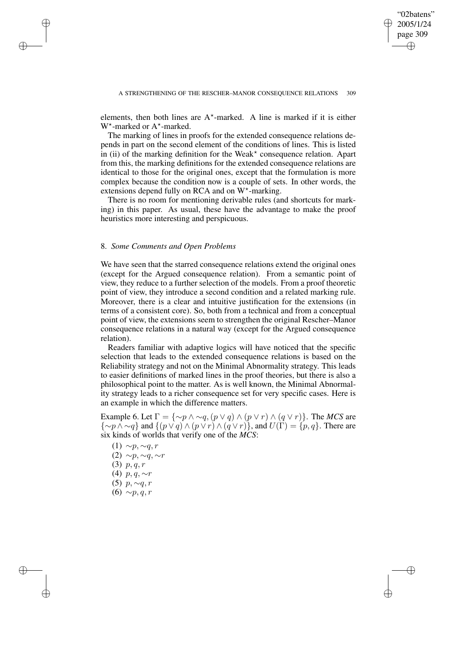✐

elements, then both lines are  $A^*$ -marked. A line is marked if it is either W<sup>\*</sup>-marked or A<sup>\*</sup>-marked.

The marking of lines in proofs for the extended consequence relations depends in part on the second element of the conditions of lines. This is listed  $\hat{i}$  in (ii) of the marking definition for the Weak\* consequence relation. Apart from this, the marking definitions for the extended consequence relations are identical to those for the original ones, except that the formulation is more complex because the condition now is a couple of sets. In other words, the extensions depend fully on RCA and on  $W^*$ -marking.

There is no room for mentioning derivable rules (and shortcuts for marking) in this paper. As usual, these have the advantage to make the proof heuristics more interesting and perspicuous.

### 8. *Some Comments and Open Problems*

✐

✐

✐

✐

We have seen that the starred consequence relations extend the original ones (except for the Argued consequence relation). From a semantic point of view, they reduce to a further selection of the models. From a proof theoretic point of view, they introduce a second condition and a related marking rule. Moreover, there is a clear and intuitive justification for the extensions (in terms of a consistent core). So, both from a technical and from a conceptual point of view, the extensions seem to strengthen the original Rescher–Manor consequence relations in a natural way (except for the Argued consequence relation).

Readers familiar with adaptive logics will have noticed that the specific selection that leads to the extended consequence relations is based on the Reliability strategy and not on the Minimal Abnormality strategy. This leads to easier definitions of marked lines in the proof theories, but there is also a philosophical point to the matter. As is well known, the Minimal Abnormality strategy leads to a richer consequence set for very specific cases. Here is an example in which the difference matters.

Example 6. Let  $\Gamma = \{\sim p \land \sim q, (p \lor q) \land (p \lor r) \land (q \lor r)\}\.$  The *MCS* are  $\{\sim p \land \sim q\}$  and  $\{(p \lor q) \land (p \lor r) \land (q \lor r)\}$ , and  $U(\Gamma) = \{p, q\}$ . There are six kinds of worlds that verify one of the *MCS*:

 $(1) \sim p, \sim q, r$ (2)  $\sim p, \sim q, \sim r$ (3)  $p, q, r$ (4)  $p, q, \sim r$ (5)  $p, ∼q, r$  $(6) \sim p, q, r$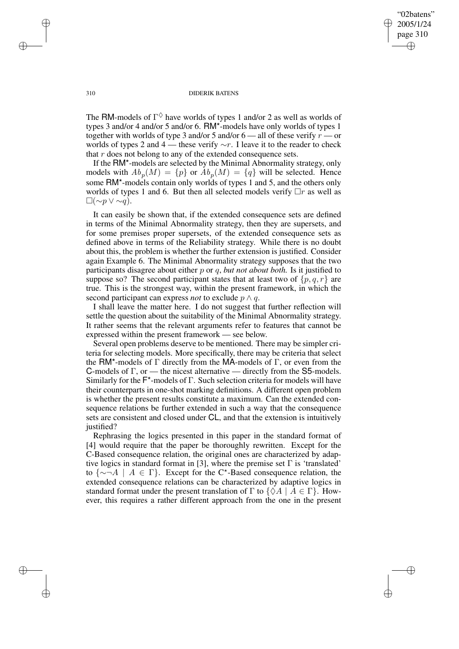"02batens" 2005/1/24 page 310 ✐ ✐

✐

✐

#### 310 DIDERIK BATENS

The RM-models of  $\Gamma^{\diamondsuit}$  have worlds of types 1 and/or 2 as well as worlds of types 3 and/or 4 and/or 5 and/or 6. RM\*-models have only worlds of types 1 together with worlds of type 3 and/or 5 and/or  $6$  — all of these verify  $r$  — or worlds of types 2 and 4 — these verify  $\sim r$ . I leave it to the reader to check that r does not belong to any of the extended consequence sets.

If the RM\*-models are selected by the Minimal Abnormality strategy, only models with  $Ab_p(M) = \{p\}$  or  $Ab_p(M) = \{q\}$  will be selected. Hence some RM\*-models contain only worlds of types 1 and 5, and the others only worlds of types 1 and 6. But then all selected models verify  $\Box r$  as well as  $\Box(\sim p \vee \sim q).$ 

It can easily be shown that, if the extended consequence sets are defined in terms of the Minimal Abnormality strategy, then they are supersets, and for some premises proper supersets, of the extended consequence sets as defined above in terms of the Reliability strategy. While there is no doubt about this, the problem is whether the further extension is justified. Consider again Example 6. The Minimal Abnormality strategy supposes that the two participants disagree about either p or q, *but not about both.* Is it justified to suppose so? The second participant states that at least two of  $\{p, q, r\}$  are true. This is the strongest way, within the present framework, in which the second participant can express *not* to exclude  $p \wedge q$ .

I shall leave the matter here. I do not suggest that further reflection will settle the question about the suitability of the Minimal Abnormality strategy. It rather seems that the relevant arguments refer to features that cannot be expressed within the present framework — see below.

Several open problems deserve to be mentioned. There may be simpler criteria for selecting models. More specifically, there may be criteria that select the RM<sup>\*</sup>-models of Γ directly from the MA-models of Γ, or even from the C-models of Γ, or — the nicest alternative — directly from the S5-models. Similarly for the F\*-models of Γ. Such selection criteria for models will have their counterparts in one-shot marking definitions. A different open problem is whether the present results constitute a maximum. Can the extended consequence relations be further extended in such a way that the consequence sets are consistent and closed under CL, and that the extension is intuitively justified?

Rephrasing the logics presented in this paper in the standard format of [4] would require that the paper be thoroughly rewritten. Except for the C-Based consequence relation, the original ones are characterized by adaptive logics in standard format in [3], where the premise set  $\Gamma$  is 'translated' to  $\{\sim \neg A \mid A \in \Gamma\}$ . Except for the C\*-Based consequence relation, the extended consequence relations can be characterized by adaptive logics in standard format under the present translation of  $\Gamma$  to  $\{\Diamond A \mid A \in \Gamma\}$ . However, this requires a rather different approach from the one in the present

✐

✐

✐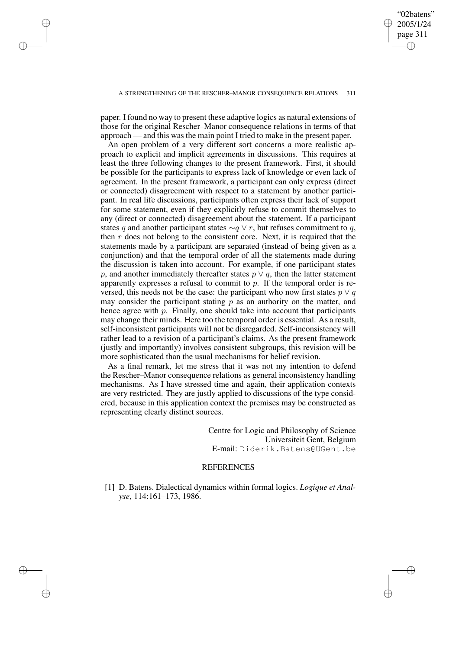✐

#### A STRENGTHENING OF THE RESCHER–MANOR CONSEQUENCE RELATIONS 311

paper. I found no way to present these adaptive logics as natural extensions of those for the original Rescher–Manor consequence relations in terms of that approach — and this was the main point I tried to make in the present paper.

✐

✐

✐

✐

An open problem of a very different sort concerns a more realistic approach to explicit and implicit agreements in discussions. This requires at least the three following changes to the present framework. First, it should be possible for the participants to express lack of knowledge or even lack of agreement. In the present framework, a participant can only express (direct or connected) disagreement with respect to a statement by another participant. In real life discussions, participants often express their lack of support for some statement, even if they explicitly refuse to commit themselves to any (direct or connected) disagreement about the statement. If a participant states q and another participant states  $\sim q \vee r$ , but refuses commitment to q, then  $r$  does not belong to the consistent core. Next, it is required that the statements made by a participant are separated (instead of being given as a conjunction) and that the temporal order of all the statements made during the discussion is taken into account. For example, if one participant states p, and another immediately thereafter states  $p \vee q$ , then the latter statement apparently expresses a refusal to commit to p. If the temporal order is reversed, this needs not be the case: the participant who now first states  $p \vee q$ may consider the participant stating  $p$  as an authority on the matter, and hence agree with  $p$ . Finally, one should take into account that participants may change their minds. Here too the temporal order is essential. As a result, self-inconsistent participants will not be disregarded. Self-inconsistency will rather lead to a revision of a participant's claims. As the present framework (justly and importantly) involves consistent subgroups, this revision will be more sophisticated than the usual mechanisms for belief revision.

As a final remark, let me stress that it was not my intention to defend the Rescher–Manor consequence relations as general inconsistency handling mechanisms. As I have stressed time and again, their application contexts are very restricted. They are justly applied to discussions of the type considered, because in this application context the premises may be constructed as representing clearly distinct sources.

> Centre for Logic and Philosophy of Science Universiteit Gent, Belgium E-mail: Diderik.Batens@UGent.be

# **REFERENCES**

[1] D. Batens. Dialectical dynamics within formal logics. *Logique et Analyse*, 114:161–173, 1986.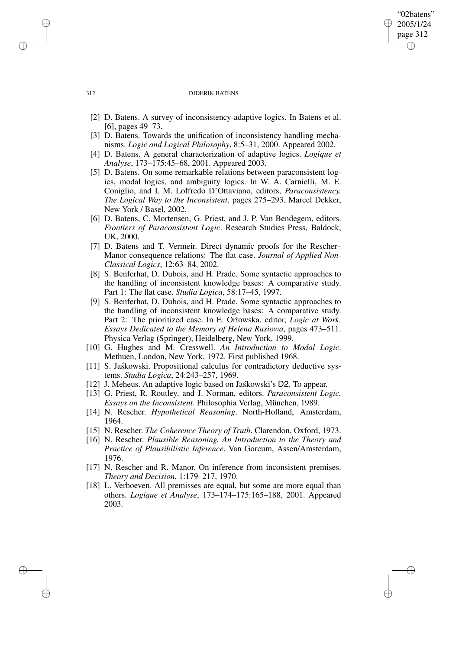### "02batens" 2005/1/24 page 312 ✐ ✐

✐

✐

#### 312 DIDERIK BATENS

- [2] D. Batens. A survey of inconsistency-adaptive logics. In Batens et al. [6], pages 49–73.
- [3] D. Batens. Towards the unification of inconsistency handling mechanisms. *Logic and Logical Philosophy*, 8:5–31, 2000. Appeared 2002.
- [4] D. Batens. A general characterization of adaptive logics. *Logique et Analyse*, 173–175:45–68, 2001. Appeared 2003.
- [5] D. Batens. On some remarkable relations between paraconsistent logics, modal logics, and ambiguity logics. In W. A. Carnielli, M. E. Coniglio, and I. M. Loffredo D'Ottaviano, editors, *Paraconsistency. The Logical Way to the Inconsistent*, pages 275–293. Marcel Dekker, New York / Basel, 2002.
- [6] D. Batens, C. Mortensen, G. Priest, and J. P. Van Bendegem, editors. *Frontiers of Paraconsistent Logic*. Research Studies Press, Baldock, UK, 2000.
- [7] D. Batens and T. Vermeir. Direct dynamic proofs for the Rescher– Manor consequence relations: The flat case. *Journal of Applied Non-Classical Logics*, 12:63–84, 2002.
- [8] S. Benferhat, D. Dubois, and H. Prade. Some syntactic approaches to the handling of inconsistent knowledge bases: A comparative study. Part 1: The flat case. *Studia Logica*, 58:17–45, 1997.
- [9] S. Benferhat, D. Dubois, and H. Prade. Some syntactic approaches to the handling of inconsistent knowledge bases: A comparative study. Part 2: The prioritized case. In E. Orłowska, editor, *Logic at Work. Essays Dedicated to the Memory of Helena Rasiowa*, pages 473–511. Physica Verlag (Springer), Heidelberg, New York, 1999.
- [10] G. Hughes and M. Cresswell. *An Introduction to Modal Logic*. Methuen, London, New York, 1972. First published 1968.
- [11] S. Jaskowski. Propositional calculus for contradictory deductive systems. *Studia Logica*, 24:243–257, 1969.
- [12] J. Meheus. An adaptive logic based on Jaskowski's D2. To appear.
- [13] G. Priest, R. Routley, and J. Norman, editors. *Paraconsistent Logic. Essays on the Inconsistent*. Philosophia Verlag, München, 1989.
- [14] N. Rescher. *Hypothetical Reasoning*. North-Holland, Amsterdam, 1964.
- [15] N. Rescher. *The Coherence Theory of Truth*. Clarendon, Oxford, 1973.
- [16] N. Rescher. *Plausible Reasoning. An Introduction to the Theory and Practice of Plausibilistic Inference*. Van Gorcum, Assen/Amsterdam, 1976.
- [17] N. Rescher and R. Manor. On inference from inconsistent premises. *Theory and Decision*, 1:179–217, 1970.
- [18] L. Verhoeven. All premisses are equal, but some are more equal than others. *Logique et Analyse*, 173–174–175:165–188, 2001. Appeared 2003.

✐

✐

✐